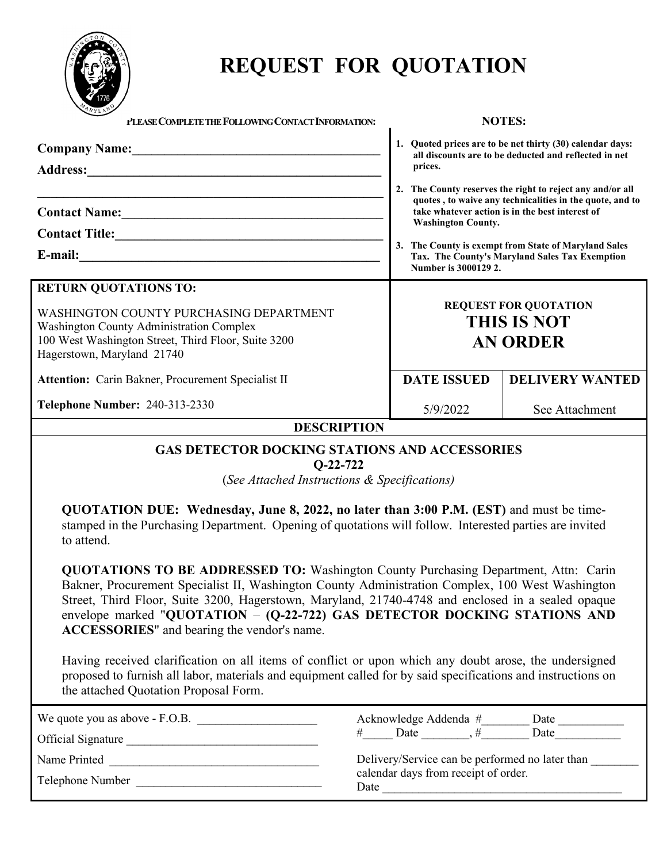

# **REQUEST FOR QUOTATION**

| TRYLAN<br>PLEASE COMPLETE THE FOLLOWING CONTACT INFORMATION:                                                                                                                                                                                                                                                                                                                                                                                                                                                                                                                                                                                                                                                                                                                                                                                                                                                                                                                                                                         |                                                                                                 | <b>NOTES:</b>                                                                                                                                                                                                                                                                                                                                                                                                    |  |  |  |  |  |
|--------------------------------------------------------------------------------------------------------------------------------------------------------------------------------------------------------------------------------------------------------------------------------------------------------------------------------------------------------------------------------------------------------------------------------------------------------------------------------------------------------------------------------------------------------------------------------------------------------------------------------------------------------------------------------------------------------------------------------------------------------------------------------------------------------------------------------------------------------------------------------------------------------------------------------------------------------------------------------------------------------------------------------------|-------------------------------------------------------------------------------------------------|------------------------------------------------------------------------------------------------------------------------------------------------------------------------------------------------------------------------------------------------------------------------------------------------------------------------------------------------------------------------------------------------------------------|--|--|--|--|--|
| Company Name: 1988                                                                                                                                                                                                                                                                                                                                                                                                                                                                                                                                                                                                                                                                                                                                                                                                                                                                                                                                                                                                                   | prices.                                                                                         | 1. Quoted prices are to be net thirty (30) calendar days:<br>all discounts are to be deducted and reflected in net                                                                                                                                                                                                                                                                                               |  |  |  |  |  |
| <u> 1989 - Johann Stoff, amerikansk politiker (* 1908)</u><br><b>RETURN QUOTATIONS TO:</b><br>WASHINGTON COUNTY PURCHASING DEPARTMENT<br><b>Washington County Administration Complex</b><br>100 West Washington Street, Third Floor, Suite 3200<br>Hagerstown, Maryland 21740                                                                                                                                                                                                                                                                                                                                                                                                                                                                                                                                                                                                                                                                                                                                                        |                                                                                                 | 2. The County reserves the right to reject any and/or all<br>quotes, to waive any technicalities in the quote, and to<br>take whatever action is in the best interest of<br><b>Washington County.</b><br>3. The County is exempt from State of Maryland Sales<br>Tax. The County's Maryland Sales Tax Exemption<br>Number is 3000129 2.<br><b>REQUEST FOR QUOTATION</b><br><b>THIS IS NOT</b><br><b>AN ORDER</b> |  |  |  |  |  |
| Attention: Carin Bakner, Procurement Specialist II                                                                                                                                                                                                                                                                                                                                                                                                                                                                                                                                                                                                                                                                                                                                                                                                                                                                                                                                                                                   | <b>DATE ISSUED</b>                                                                              | <b>DELIVERY WANTED</b>                                                                                                                                                                                                                                                                                                                                                                                           |  |  |  |  |  |
| <b>Telephone Number: 240-313-2330</b>                                                                                                                                                                                                                                                                                                                                                                                                                                                                                                                                                                                                                                                                                                                                                                                                                                                                                                                                                                                                | 5/9/2022<br>See Attachment<br><b>DESCRIPTION</b>                                                |                                                                                                                                                                                                                                                                                                                                                                                                                  |  |  |  |  |  |
| <b>GAS DETECTOR DOCKING STATIONS AND ACCESSORIES</b><br>$Q-22-722$<br>(See Attached Instructions & Specifications)<br>QUOTATION DUE: Wednesday, June 8, 2022, no later than 3:00 P.M. (EST) and must be time-<br>stamped in the Purchasing Department. Opening of quotations will follow. Interested parties are invited<br>to attend.<br>QUOTATIONS TO BE ADDRESSED TO: Washington County Purchasing Department, Attn: Carin<br>Bakner, Procurement Specialist II, Washington County Administration Complex, 100 West Washington<br>Street, Third Floor, Suite 3200, Hagerstown, Maryland, 21740-4748 and enclosed in a sealed opaque<br>envelope marked "QUOTATION - (Q-22-722) GAS DETECTOR DOCKING STATIONS AND<br>ACCESSORIES" and bearing the vendor's name.<br>Having received clarification on all items of conflict or upon which any doubt arose, the undersigned<br>proposed to furnish all labor, materials and equipment called for by said specifications and instructions on<br>the attached Quotation Proposal Form. |                                                                                                 |                                                                                                                                                                                                                                                                                                                                                                                                                  |  |  |  |  |  |
| We quote you as above - F.O.B.<br>Telephone Number                                                                                                                                                                                                                                                                                                                                                                                                                                                                                                                                                                                                                                                                                                                                                                                                                                                                                                                                                                                   | Delivery/Service can be performed no later than<br>calendar days from receipt of order.<br>Date |                                                                                                                                                                                                                                                                                                                                                                                                                  |  |  |  |  |  |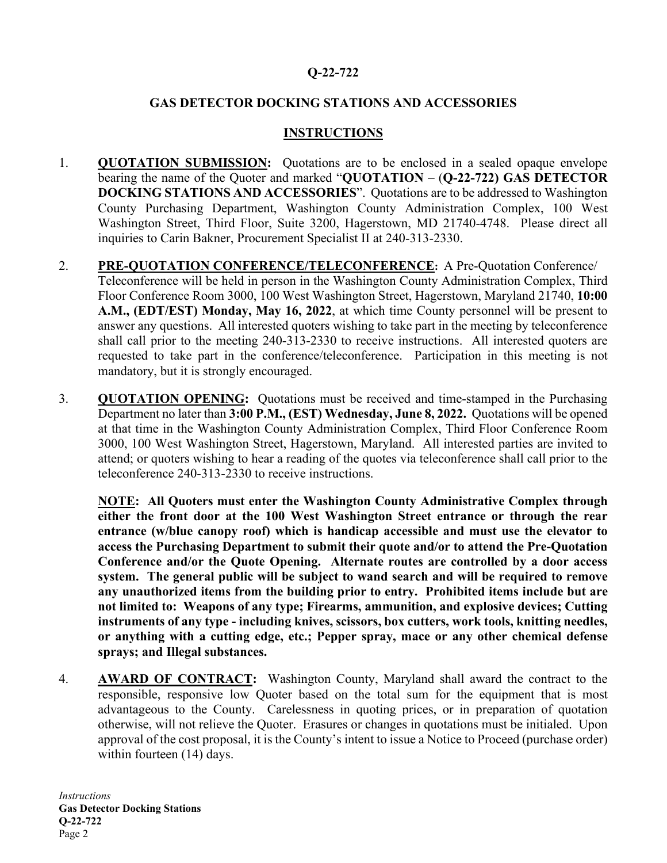## **Q-22-722**

## **GAS DETECTOR DOCKING STATIONS AND ACCESSORIES**

## **INSTRUCTIONS**

- 1. **QUOTATION SUBMISSION:** Quotations are to be enclosed in a sealed opaque envelope bearing the name of the Quoter and marked "**QUOTATION** – (**Q-22-722) GAS DETECTOR DOCKING STATIONS AND ACCESSORIES**". Quotations are to be addressed to Washington County Purchasing Department, Washington County Administration Complex, 100 West Washington Street, Third Floor, Suite 3200, Hagerstown, MD 21740-4748. Please direct all inquiries to Carin Bakner, Procurement Specialist II at 240-313-2330.
- 2. **PRE-QUOTATION CONFERENCE/TELECONFERENCE:** A Pre-Quotation Conference/ Teleconference will be held in person in the Washington County Administration Complex, Third Floor Conference Room 3000, 100 West Washington Street, Hagerstown, Maryland 21740, **10:00 A.M., (EDT/EST) Monday, May 16, 2022**, at which time County personnel will be present to answer any questions. All interested quoters wishing to take part in the meeting by teleconference shall call prior to the meeting 240-313-2330 to receive instructions. All interested quoters are requested to take part in the conference/teleconference. Participation in this meeting is not mandatory, but it is strongly encouraged.
- 3. **QUOTATION OPENING:** Quotations must be received and time-stamped in the Purchasing Department no later than **3:00 P.M., (EST) Wednesday, June 8, 2022.** Quotations will be opened at that time in the Washington County Administration Complex, Third Floor Conference Room 3000, 100 West Washington Street, Hagerstown, Maryland. All interested parties are invited to attend; or quoters wishing to hear a reading of the quotes via teleconference shall call prior to the teleconference 240-313-2330 to receive instructions.

**NOTE: All Quoters must enter the Washington County Administrative Complex through either the front door at the 100 West Washington Street entrance or through the rear entrance (w/blue canopy roof) which is handicap accessible and must use the elevator to access the Purchasing Department to submit their quote and/or to attend the Pre-Quotation Conference and/or the Quote Opening. Alternate routes are controlled by a door access system. The general public will be subject to wand search and will be required to remove any unauthorized items from the building prior to entry. Prohibited items include but are not limited to: Weapons of any type; Firearms, ammunition, and explosive devices; Cutting instruments of any type - including knives, scissors, box cutters, work tools, knitting needles, or anything with a cutting edge, etc.; Pepper spray, mace or any other chemical defense sprays; and Illegal substances.** 

4. **AWARD OF CONTRACT:** Washington County, Maryland shall award the contract to the responsible, responsive low Quoter based on the total sum for the equipment that is most advantageous to the County. Carelessness in quoting prices, or in preparation of quotation otherwise, will not relieve the Quoter. Erasures or changes in quotations must be initialed. Upon approval of the cost proposal, it is the County's intent to issue a Notice to Proceed (purchase order) within fourteen (14) days.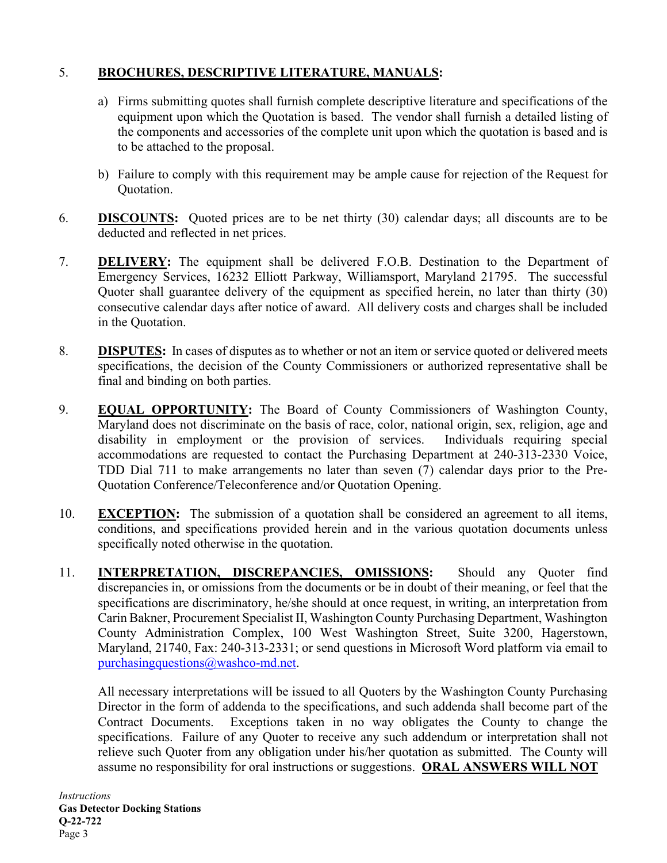## 5. **BROCHURES, DESCRIPTIVE LITERATURE, MANUALS:**

- a) Firms submitting quotes shall furnish complete descriptive literature and specifications of the equipment upon which the Quotation is based. The vendor shall furnish a detailed listing of the components and accessories of the complete unit upon which the quotation is based and is to be attached to the proposal.
- b) Failure to comply with this requirement may be ample cause for rejection of the Request for Quotation.
- 6. **DISCOUNTS:** Quoted prices are to be net thirty (30) calendar days; all discounts are to be deducted and reflected in net prices.
- 7. **DELIVERY:** The equipment shall be delivered F.O.B. Destination to the Department of Emergency Services, 16232 Elliott Parkway, Williamsport, Maryland 21795. The successful Quoter shall guarantee delivery of the equipment as specified herein, no later than thirty (30) consecutive calendar days after notice of award. All delivery costs and charges shall be included in the Quotation.
- 8. **DISPUTES:** In cases of disputes as to whether or not an item or service quoted or delivered meets specifications, the decision of the County Commissioners or authorized representative shall be final and binding on both parties.
- 9. **EQUAL OPPORTUNITY:** The Board of County Commissioners of Washington County, Maryland does not discriminate on the basis of race, color, national origin, sex, religion, age and disability in employment or the provision of services. Individuals requiring special accommodations are requested to contact the Purchasing Department at 240-313-2330 Voice, TDD Dial 711 to make arrangements no later than seven (7) calendar days prior to the Pre-Quotation Conference/Teleconference and/or Quotation Opening.
- 10. **EXCEPTION:** The submission of a quotation shall be considered an agreement to all items, conditions, and specifications provided herein and in the various quotation documents unless specifically noted otherwise in the quotation.
- 11. **INTERPRETATION, DISCREPANCIES, OMISSIONS:** Should any Quoter find discrepancies in, or omissions from the documents or be in doubt of their meaning, or feel that the specifications are discriminatory, he/she should at once request, in writing, an interpretation from Carin Bakner, Procurement Specialist II, Washington County Purchasing Department, Washington County Administration Complex, 100 West Washington Street, Suite 3200, Hagerstown, Maryland, 21740, Fax: 240-313-2331; or send questions in Microsoft Word platform via email to [purchasingquestions@washco-md.net.](mailto:purchasingquestions@washco-md.net)

All necessary interpretations will be issued to all Quoters by the Washington County Purchasing Director in the form of addenda to the specifications, and such addenda shall become part of the Contract Documents. Exceptions taken in no way obligates the County to change the specifications. Failure of any Quoter to receive any such addendum or interpretation shall not relieve such Quoter from any obligation under his/her quotation as submitted. The County will assume no responsibility for oral instructions or suggestions. **ORAL ANSWERS WILL NOT**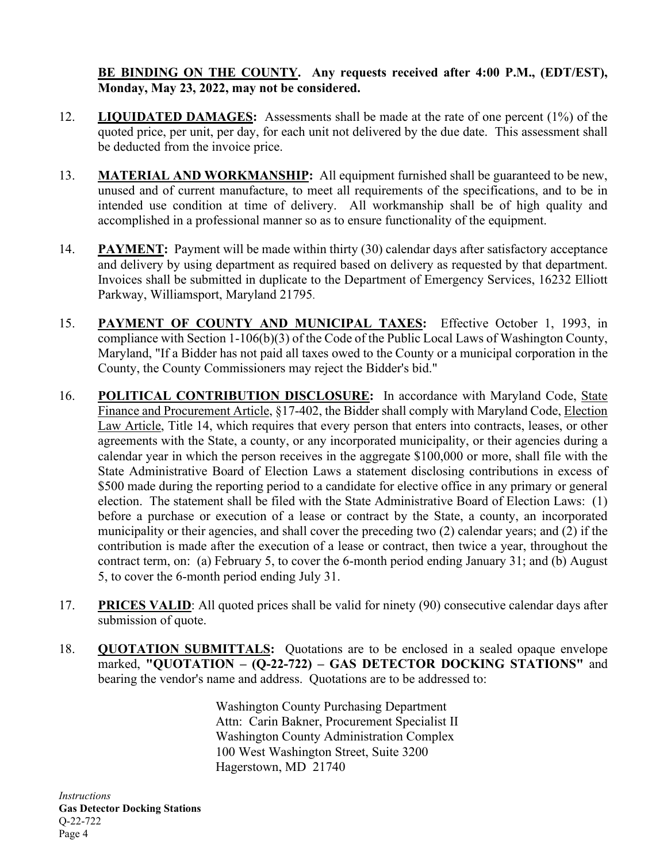## **BE BINDING ON THE COUNTY. Any requests received after 4:00 P.M., (EDT/EST), Monday, May 23, 2022, may not be considered.**

- 12. **LIQUIDATED DAMAGES:** Assessments shall be made at the rate of one percent (1%) of the quoted price, per unit, per day, for each unit not delivered by the due date. This assessment shall be deducted from the invoice price.
- 13. **MATERIAL AND WORKMANSHIP:** All equipment furnished shall be guaranteed to be new, unused and of current manufacture, to meet all requirements of the specifications, and to be in intended use condition at time of delivery. All workmanship shall be of high quality and accomplished in a professional manner so as to ensure functionality of the equipment.
- 14. **PAYMENT:** Payment will be made within thirty (30) calendar days after satisfactory acceptance and delivery by using department as required based on delivery as requested by that department. Invoices shall be submitted in duplicate to the Department of Emergency Services, 16232 Elliott Parkway, Williamsport, Maryland 21795.
- 15. **PAYMENT OF COUNTY AND MUNICIPAL TAXES:** Effective October 1, 1993, in compliance with Section 1-106(b)(3) of the Code of the Public Local Laws of Washington County, Maryland, "If a Bidder has not paid all taxes owed to the County or a municipal corporation in the County, the County Commissioners may reject the Bidder's bid."
- 16. **POLITICAL CONTRIBUTION DISCLOSURE:** In accordance with Maryland Code, State Finance and Procurement Article, §17-402, the Bidder shall comply with Maryland Code, Election Law Article, Title 14, which requires that every person that enters into contracts, leases, or other agreements with the State, a county, or any incorporated municipality, or their agencies during a calendar year in which the person receives in the aggregate \$100,000 or more, shall file with the State Administrative Board of Election Laws a statement disclosing contributions in excess of \$500 made during the reporting period to a candidate for elective office in any primary or general election. The statement shall be filed with the State Administrative Board of Election Laws: (1) before a purchase or execution of a lease or contract by the State, a county, an incorporated municipality or their agencies, and shall cover the preceding two (2) calendar years; and (2) if the contribution is made after the execution of a lease or contract, then twice a year, throughout the contract term, on: (a) February 5, to cover the 6-month period ending January 31; and (b) August 5, to cover the 6-month period ending July 31.
- 17. **PRICES VALID**: All quoted prices shall be valid for ninety (90) consecutive calendar days after submission of quote.
- 18. **QUOTATION SUBMITTALS:** Quotations are to be enclosed in a sealed opaque envelope marked, **"QUOTATION – (Q-22-722) – GAS DETECTOR DOCKING STATIONS"** and bearing the vendor's name and address. Quotations are to be addressed to:

Washington County Purchasing Department Attn: Carin Bakner, Procurement Specialist II Washington County Administration Complex 100 West Washington Street, Suite 3200 Hagerstown, MD 21740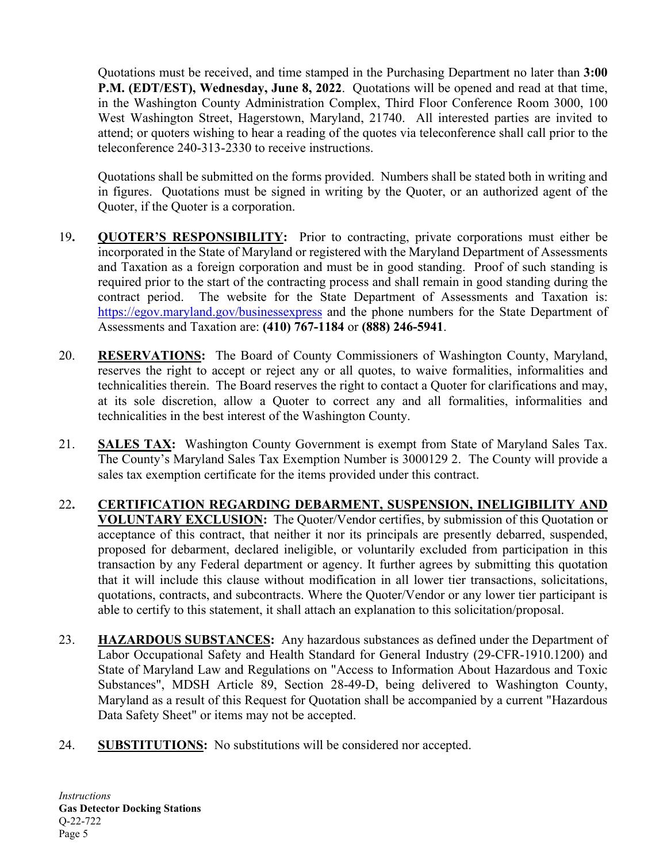Quotations must be received, and time stamped in the Purchasing Department no later than **3:00 P.M. (EDT/EST), Wednesday, June 8, 2022**. Quotations will be opened and read at that time, in the Washington County Administration Complex, Third Floor Conference Room 3000, 100 West Washington Street, Hagerstown, Maryland, 21740. All interested parties are invited to attend; or quoters wishing to hear a reading of the quotes via teleconference shall call prior to the teleconference 240-313-2330 to receive instructions.

Quotations shall be submitted on the forms provided. Numbers shall be stated both in writing and in figures. Quotations must be signed in writing by the Quoter, or an authorized agent of the Quoter, if the Quoter is a corporation.

- 19**. QUOTER'S RESPONSIBILITY:** Prior to contracting, private corporations must either be incorporated in the State of Maryland or registered with the Maryland Department of Assessments and Taxation as a foreign corporation and must be in good standing. Proof of such standing is required prior to the start of the contracting process and shall remain in good standing during the contract period. The website for the State Department of Assessments and Taxation is: <https://egov.maryland.gov/businessexpress> and the phone numbers for the State Department of Assessments and Taxation are: **(410) 767-1184** or **(888) 246-5941**.
- 20. **RESERVATIONS:** The Board of County Commissioners of Washington County, Maryland, reserves the right to accept or reject any or all quotes, to waive formalities, informalities and technicalities therein. The Board reserves the right to contact a Quoter for clarifications and may, at its sole discretion, allow a Quoter to correct any and all formalities, informalities and technicalities in the best interest of the Washington County.
- 21. **SALES TAX:** Washington County Government is exempt from State of Maryland Sales Tax. The County's Maryland Sales Tax Exemption Number is 3000129 2. The County will provide a sales tax exemption certificate for the items provided under this contract.
- 22**. CERTIFICATION REGARDING DEBARMENT, SUSPENSION, INELIGIBILITY AND VOLUNTARY EXCLUSION:** The Quoter/Vendor certifies, by submission of this Quotation or acceptance of this contract, that neither it nor its principals are presently debarred, suspended, proposed for debarment, declared ineligible, or voluntarily excluded from participation in this transaction by any Federal department or agency. It further agrees by submitting this quotation that it will include this clause without modification in all lower tier transactions, solicitations, quotations, contracts, and subcontracts. Where the Quoter/Vendor or any lower tier participant is able to certify to this statement, it shall attach an explanation to this solicitation/proposal.
- 23. **HAZARDOUS SUBSTANCES:** Any hazardous substances as defined under the Department of Labor Occupational Safety and Health Standard for General Industry (29-CFR-1910.1200) and State of Maryland Law and Regulations on "Access to Information About Hazardous and Toxic Substances", MDSH Article 89, Section 28-49-D, being delivered to Washington County, Maryland as a result of this Request for Quotation shall be accompanied by a current "Hazardous Data Safety Sheet" or items may not be accepted.
- 24. **SUBSTITUTIONS:** No substitutions will be considered nor accepted.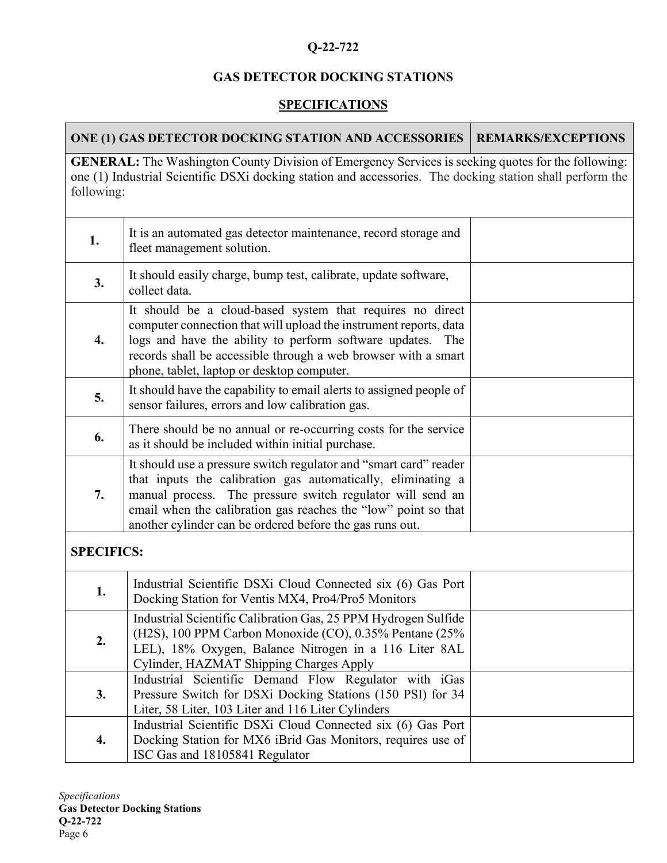## **Q-22-722**

## **GAS DETECTOR DOCKING STATIONS**

# **SPECIFICATIONS**

|                   | ONE (1) GAS DETECTOR DOCKING STATION AND ACCESSORIES                                                                                                                                                                                                                                                                          | <b>REMARKS/EXCEPTIONS</b> |
|-------------------|-------------------------------------------------------------------------------------------------------------------------------------------------------------------------------------------------------------------------------------------------------------------------------------------------------------------------------|---------------------------|
| following:        | <b>GENERAL:</b> The Washington County Division of Emergency Services is seeking quotes for the following:<br>one (1) Industrial Scientific DSXi docking station and accessories. The docking station shall perform the                                                                                                        |                           |
| 1.                | It is an automated gas detector maintenance, record storage and<br>fleet management solution.                                                                                                                                                                                                                                 |                           |
| 3.                | It should easily charge, bump test, calibrate, update software,<br>collect data.                                                                                                                                                                                                                                              |                           |
| 4.                | It should be a cloud-based system that requires no direct<br>computer connection that will upload the instrument reports, data<br>logs and have the ability to perform software updates. The<br>records shall be accessible through a web browser with a smart<br>phone, tablet, laptop or desktop computer.                  |                           |
| 5.                | It should have the capability to email alerts to assigned people of<br>sensor failures, errors and low calibration gas.                                                                                                                                                                                                       |                           |
| 6.                | There should be no annual or re-occurring costs for the service<br>as it should be included within initial purchase.                                                                                                                                                                                                          |                           |
| 7.                | It should use a pressure switch regulator and "smart card" reader<br>that inputs the calibration gas automatically, eliminating a<br>manual process. The pressure switch regulator will send an<br>email when the calibration gas reaches the "low" point so that<br>another cylinder can be ordered before the gas runs out. |                           |
| <b>SPECIFICS:</b> |                                                                                                                                                                                                                                                                                                                               |                           |
| 1.                | Industrial Scientific DSXi Cloud Connected six (6) Gas Port<br>Docking Station for Ventis MX4, Pro4/Pro5 Monitors                                                                                                                                                                                                             |                           |
| 2.                | Industrial Scientific Calibration Gas, 25 PPM Hydrogen Sulfide<br>(H2S), 100 PPM Carbon Monoxide (CO), 0.35% Pentane (25%)<br>LEL), 18% Oxygen, Balance Nitrogen in a 116 Liter 8AL<br>Cylinder, HAZMAT Shipping Charges Apply                                                                                                |                           |
| 3.                | Industrial Scientific Demand Flow Regulator with iGas<br>Pressure Switch for DSXi Docking Stations (150 PSI) for 34<br>Liter, 58 Liter, 103 Liter and 116 Liter Cylinders                                                                                                                                                     |                           |
| 4.                | Industrial Scientific DSXi Cloud Connected six (6) Gas Port<br>Docking Station for MX6 iBrid Gas Monitors, requires use of<br>ISC Gas and 18105841 Regulator                                                                                                                                                                  |                           |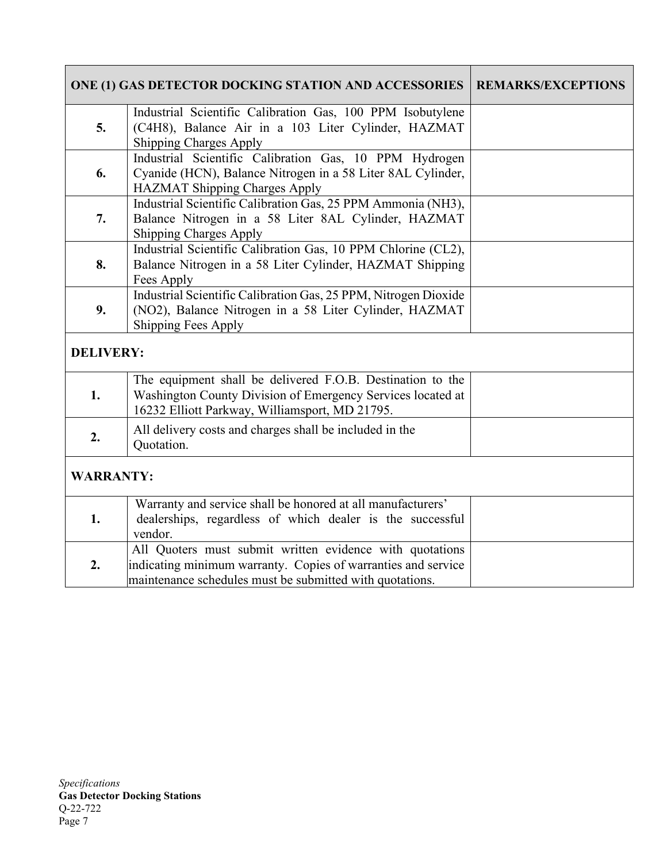|                  | ONE (1) GAS DETECTOR DOCKING STATION AND ACCESSORIES                                                                                                                                  | <b>REMARKS/EXCEPTIONS</b> |
|------------------|---------------------------------------------------------------------------------------------------------------------------------------------------------------------------------------|---------------------------|
| 5.               | Industrial Scientific Calibration Gas, 100 PPM Isobutylene<br>(C4H8), Balance Air in a 103 Liter Cylinder, HAZMAT<br>Shipping Charges Apply                                           |                           |
| 6.               | Industrial Scientific Calibration Gas, 10 PPM Hydrogen<br>Cyanide (HCN), Balance Nitrogen in a 58 Liter 8AL Cylinder,<br>HAZMAT Shipping Charges Apply                                |                           |
| 7.               | Industrial Scientific Calibration Gas, 25 PPM Ammonia (NH3),<br>Balance Nitrogen in a 58 Liter 8AL Cylinder, HAZMAT<br><b>Shipping Charges Apply</b>                                  |                           |
| 8.               | Industrial Scientific Calibration Gas, 10 PPM Chlorine (CL2),<br>Balance Nitrogen in a 58 Liter Cylinder, HAZMAT Shipping<br>Fees Apply                                               |                           |
| 9.               | Industrial Scientific Calibration Gas, 25 PPM, Nitrogen Dioxide<br>(NO2), Balance Nitrogen in a 58 Liter Cylinder, HAZMAT<br><b>Shipping Fees Apply</b>                               |                           |
| <b>DELIVERY:</b> |                                                                                                                                                                                       |                           |
| 1.               | The equipment shall be delivered F.O.B. Destination to the<br>Washington County Division of Emergency Services located at<br>16232 Elliott Parkway, Williamsport, MD 21795.           |                           |
| 2.               | All delivery costs and charges shall be included in the<br>Quotation.                                                                                                                 |                           |
| <b>WARRANTY:</b> |                                                                                                                                                                                       |                           |
| 1.               | Warranty and service shall be honored at all manufacturers'<br>dealerships, regardless of which dealer is the successful<br>vendor.                                                   |                           |
| 2.               | All Quoters must submit written evidence with quotations<br>indicating minimum warranty. Copies of warranties and service<br>maintenance schedules must be submitted with quotations. |                           |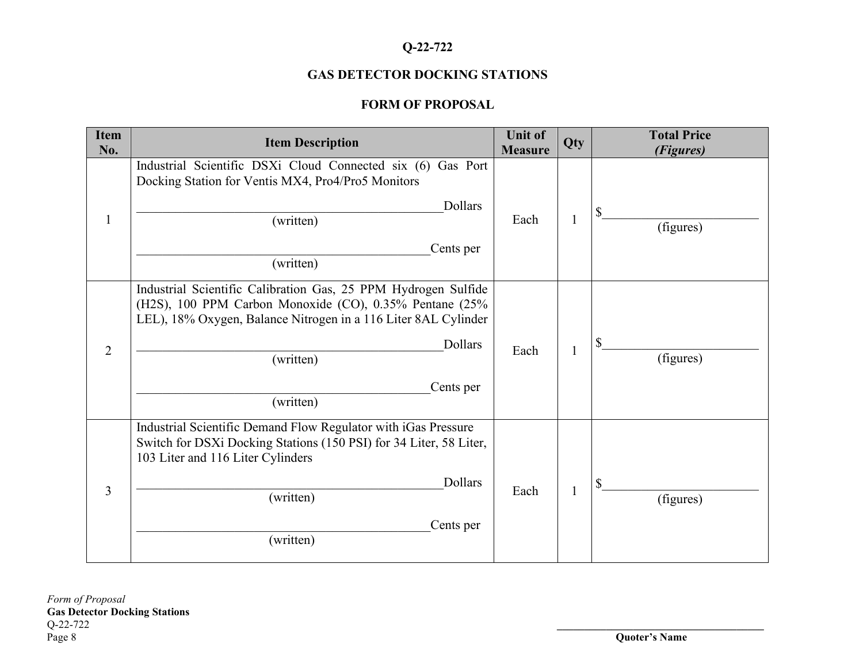## **Q-22-722**

## **GAS DETECTOR DOCKING STATIONS**

## **FORM OF PROPOSAL**

| <b>Item</b><br>No. | <b>Item Description</b>                                                                                                                                                                                                                       | <b>Unit of</b><br><b>Measure</b> | Qty | <b>Total Price</b><br>(Figures) |
|--------------------|-----------------------------------------------------------------------------------------------------------------------------------------------------------------------------------------------------------------------------------------------|----------------------------------|-----|---------------------------------|
| $\mathbf{1}$       | Industrial Scientific DSXi Cloud Connected six (6) Gas Port<br>Docking Station for Ventis MX4, Pro4/Pro5 Monitors<br>Dollars<br>(written)<br>Cents per<br>(written)                                                                           | Each                             |     | (figures)                       |
| $\overline{2}$     | Industrial Scientific Calibration Gas, 25 PPM Hydrogen Sulfide<br>(H2S), 100 PPM Carbon Monoxide (CO), 0.35% Pentane (25%<br>LEL), 18% Oxygen, Balance Nitrogen in a 116 Liter 8AL Cylinder<br>Dollars<br>(written)<br>Cents per<br>(written) | Each                             |     | (figures)                       |
| $\overline{3}$     | Industrial Scientific Demand Flow Regulator with iGas Pressure<br>Switch for DSXi Docking Stations (150 PSI) for 34 Liter, 58 Liter,<br>103 Liter and 116 Liter Cylinders<br>Dollars<br>(written)<br>Cents per<br>(written)                   | Each                             |     | (figures)                       |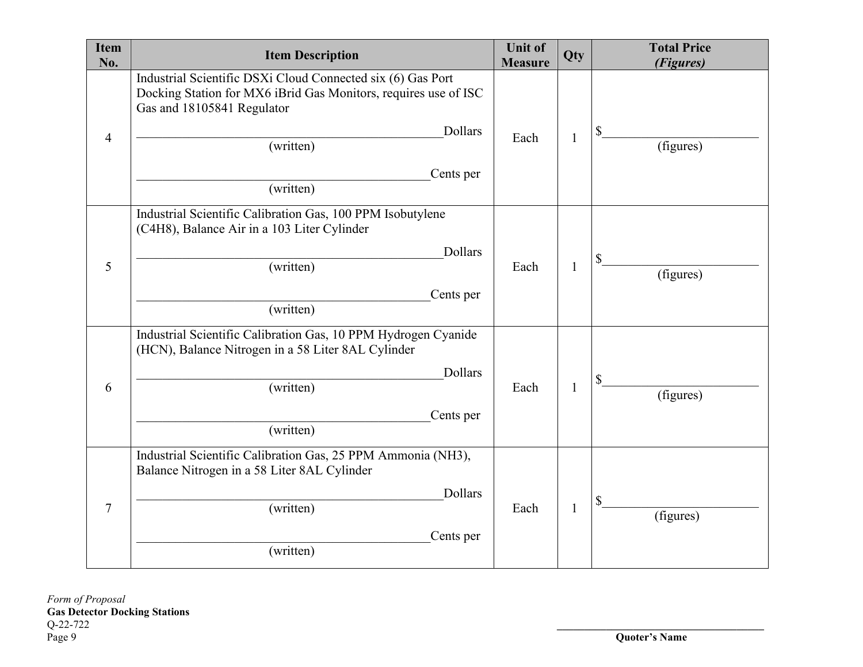| <b>Item</b><br>No. | <b>Item Description</b>                                                                                                                                                                                        | <b>Unit of</b><br><b>Measure</b> | Qty | <b>Total Price</b><br>(Figures) |
|--------------------|----------------------------------------------------------------------------------------------------------------------------------------------------------------------------------------------------------------|----------------------------------|-----|---------------------------------|
| $\overline{4}$     | Industrial Scientific DSXi Cloud Connected six (6) Gas Port<br>Docking Station for MX6 iBrid Gas Monitors, requires use of ISC<br>Gas and 18105841 Regulator<br>Dollars<br>(written)<br>Cents per<br>(written) | Each                             | 1   | (figures)                       |
| 5                  | Industrial Scientific Calibration Gas, 100 PPM Isobutylene<br>(C4H8), Balance Air in a 103 Liter Cylinder<br>Dollars<br>(written)<br>Cents per<br>(written)                                                    | Each                             | 1   | (figures)                       |
| 6                  | Industrial Scientific Calibration Gas, 10 PPM Hydrogen Cyanide<br>(HCN), Balance Nitrogen in a 58 Liter 8AL Cylinder<br>Dollars<br>(written)<br>Cents per<br>(written)                                         | Each                             | 1   | (figures)                       |
| $\tau$             | Industrial Scientific Calibration Gas, 25 PPM Ammonia (NH3),<br>Balance Nitrogen in a 58 Liter 8AL Cylinder<br>Dollars<br>(written)<br>Cents per<br>(written)                                                  | Each                             | 1   | (figures)                       |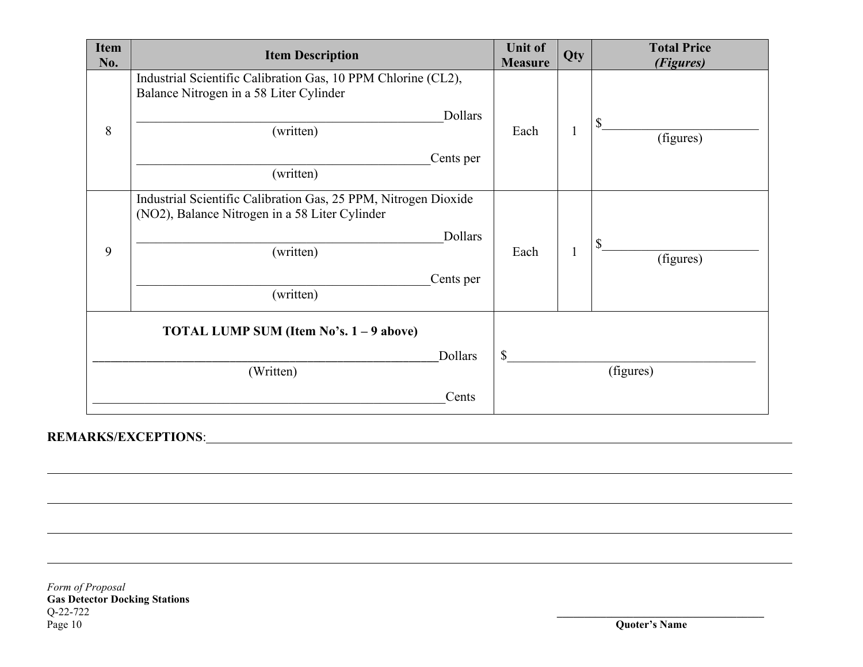| <b>Item</b><br>No. | <b>Item Description</b>                                                                                           | <b>Unit of</b><br><b>Measure</b> | Qty | <b>Total Price</b><br>(Figures) |  |
|--------------------|-------------------------------------------------------------------------------------------------------------------|----------------------------------|-----|---------------------------------|--|
|                    | Industrial Scientific Calibration Gas, 10 PPM Chlorine (CL2),<br>Balance Nitrogen in a 58 Liter Cylinder          |                                  |     |                                 |  |
| 8                  | Dollars<br>(written)                                                                                              | Each                             |     | \$<br>(figures)                 |  |
|                    | Cents per<br>(written)                                                                                            |                                  |     |                                 |  |
|                    | Industrial Scientific Calibration Gas, 25 PPM, Nitrogen Dioxide<br>(NO2), Balance Nitrogen in a 58 Liter Cylinder |                                  |     |                                 |  |
| 9                  | Dollars<br>(written)                                                                                              | Each                             |     | (figures)                       |  |
|                    | Cents per<br>(written)                                                                                            |                                  |     |                                 |  |
|                    | TOTAL LUMP SUM (Item No's. 1 – 9 above)                                                                           |                                  |     |                                 |  |
|                    | Dollars<br>(Written)                                                                                              | \$<br>(figures)                  |     |                                 |  |
|                    | Cents                                                                                                             |                                  |     |                                 |  |

## **REMARKS/EXCEPTIONS**:

 $\overline{a}$ 

 $\overline{a}$ 

*Form of Proposal* **Gas Detector Docking Stations** Q-22-722 **\_\_\_\_\_\_\_\_\_\_\_\_\_\_\_\_\_\_\_\_\_\_\_\_\_\_\_\_\_\_\_\_\_\_\_\_\_\_** Q-22-722<br>Q-22-722<br>Page 10 **Quoter's Name**